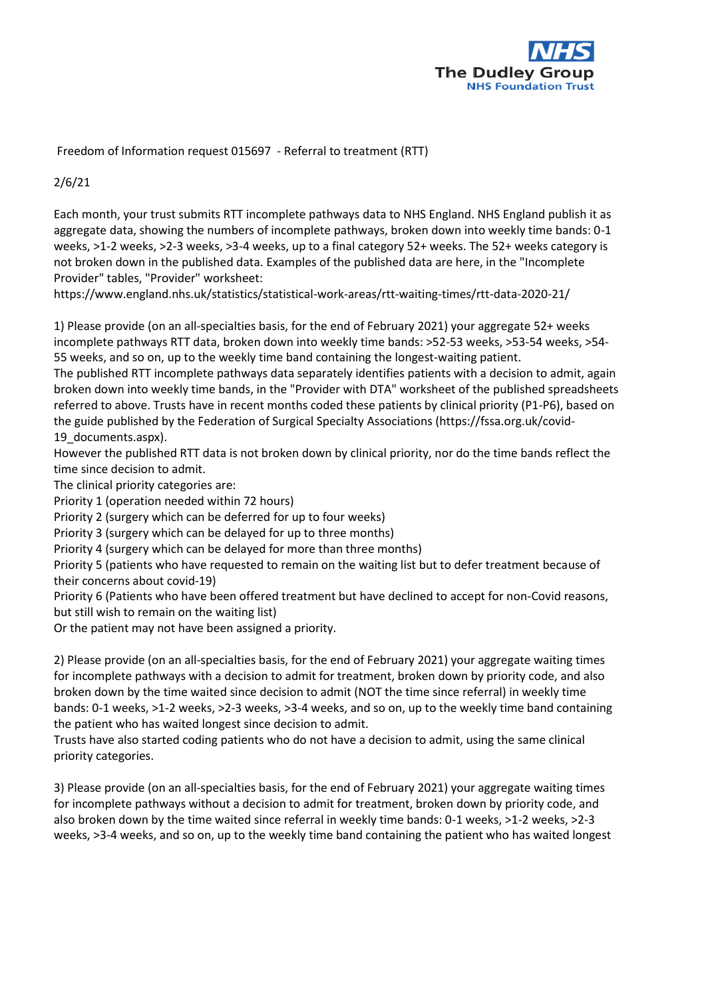

Freedom of Information request 015697 - Referral to treatment (RTT)

2/6/21

Each month, your trust submits RTT incomplete pathways data to NHS England. NHS England publish it as aggregate data, showing the numbers of incomplete pathways, broken down into weekly time bands: 0-1 weeks, >1-2 weeks, >2-3 weeks, >3-4 weeks, up to a final category 52+ weeks. The 52+ weeks category is not broken down in the published data. Examples of the published data are here, in the "Incomplete Provider" tables, "Provider" worksheet:

https://www.england.nhs.uk/statistics/statistical-work-areas/rtt-waiting-times/rtt-data-2020-21/

1) Please provide (on an all-specialties basis, for the end of February 2021) your aggregate 52+ weeks incomplete pathways RTT data, broken down into weekly time bands: >52-53 weeks, >53-54 weeks, >54- 55 weeks, and so on, up to the weekly time band containing the longest-waiting patient.

The published RTT incomplete pathways data separately identifies patients with a decision to admit, again broken down into weekly time bands, in the "Provider with DTA" worksheet of the published spreadsheets referred to above. Trusts have in recent months coded these patients by clinical priority (P1-P6), based on the guide published by the Federation of Surgical Specialty Associations (https://fssa.org.uk/covid-19 documents.aspx).

However the published RTT data is not broken down by clinical priority, nor do the time bands reflect the time since decision to admit.

The clinical priority categories are:

Priority 1 (operation needed within 72 hours)

Priority 2 (surgery which can be deferred for up to four weeks)

Priority 3 (surgery which can be delayed for up to three months)

Priority 4 (surgery which can be delayed for more than three months)

Priority 5 (patients who have requested to remain on the waiting list but to defer treatment because of their concerns about covid-19)

Priority 6 (Patients who have been offered treatment but have declined to accept for non-Covid reasons, but still wish to remain on the waiting list)

Or the patient may not have been assigned a priority.

2) Please provide (on an all-specialties basis, for the end of February 2021) your aggregate waiting times for incomplete pathways with a decision to admit for treatment, broken down by priority code, and also broken down by the time waited since decision to admit (NOT the time since referral) in weekly time bands: 0-1 weeks, >1-2 weeks, >2-3 weeks, >3-4 weeks, and so on, up to the weekly time band containing the patient who has waited longest since decision to admit.

Trusts have also started coding patients who do not have a decision to admit, using the same clinical priority categories.

3) Please provide (on an all-specialties basis, for the end of February 2021) your aggregate waiting times for incomplete pathways without a decision to admit for treatment, broken down by priority code, and also broken down by the time waited since referral in weekly time bands: 0-1 weeks, >1-2 weeks, >2-3 weeks, >3-4 weeks, and so on, up to the weekly time band containing the patient who has waited longest